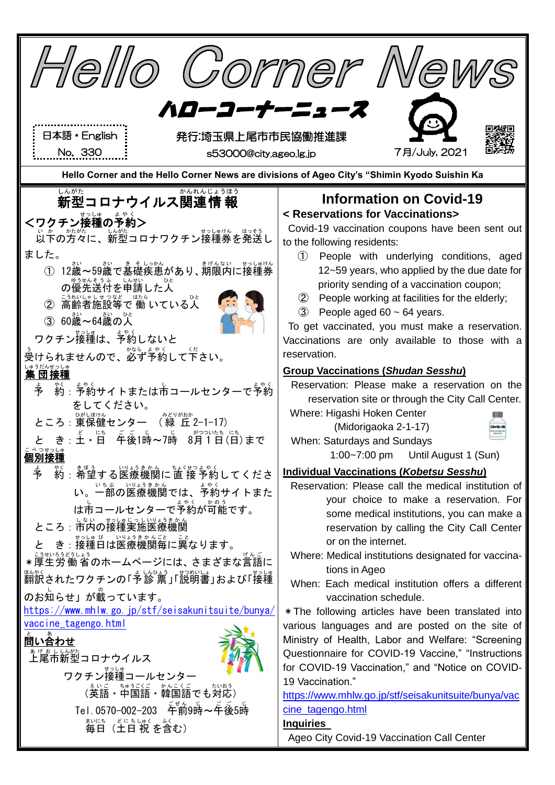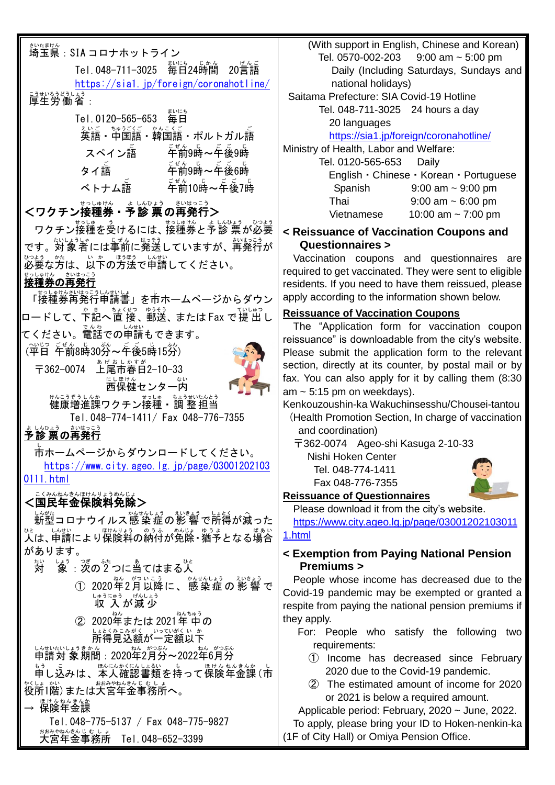| さいたまけん<br>埼玉県: SIA コロナホットライン                                                         |                         |
|--------------------------------------------------------------------------------------|-------------------------|
| じかん<br>まいにち<br>Tel. 048-711-3025 毎日24時間<br>20言語                                      |                         |
| https://sia1.jp/foreign/coronahotline/                                               |                         |
| <u>ジャルふきょう。</u><br>厚生労働省:<br>まいにち                                                    | Sait                    |
| Tel.0120-565-653<br>毎日                                                               |                         |
|                                                                                      |                         |
| 车前9時~车後9時<br>スペイン語                                                                   | Minis                   |
| ゠ <sub>゠</sub><br>午前9時~午後6時<br>タイ語                                                   |                         |
| ・<br>午前10時~午後7時<br>ベトナム語                                                             |                         |
| <ワクチン接種券・予診 票の再発行>                                                                   |                         |
| ワクチン接種を受けるには、接種券と予診 票が必要                                                             | < Rε                    |
| です。対象者には事前に発送していますが、部族言が                                                             | C                       |
| 。。。<br>必要な方は、以下の方法で申請してください。                                                         | Va<br>requi             |
| <sub>まっしゅけん</sub><br><b>接種券の再発行</b>                                                  | resid                   |
| <br>「接種券再発行申請書」を市ホームページからダウン                                                         | apply                   |
| 本記へ直接、郵送、またはFax で提出し<br>ロードして、                                                       | <u>Reis</u><br>Th       |
| てください。電話での単請もできます。                                                                   | reiss                   |
| (平日 年前8時30労~年後5時15労)                                                                 | Pleas                   |
| <u> ぁゖぉしゕ</u> すゕ゙<br>上尾市春日2−10−33<br>〒362-0074                                       | secti<br>fax.           |
| にし <u>ほけん</u><br>西保健センター内                                                            | am ~                    |
| サヘニラぞラ └ ヘホ<br>健康増進課ワクチン接種・調 整担当                                                     | Kenk                    |
| Tel.048-774-1411/ Fax 048-776-7355<br>さいはっこう<br>しんひょう                                | (He<br>a                |
| 診 票の再発行<br>ı                                                                         | $\overline{\mathsf{T}}$ |
| 市ホームページからダウンロードしてください。<br>https://www.city.ageo.lg.jp/page/03001202103               |                         |
| $0111.$ html                                                                         |                         |
| こくみんねんきんほけんりょうめんじょ<br><国民年金保険料免除>                                                    | <b>Reis</b>             |
| い旅<br>新型コロナウイルス感 染症の影 響で所得が減った                                                       | Pl(<br>htt              |
| <u>vと、しない</u><br>人は、申請により保険料の納付が免除・猶予となる場合                                           | 1.htn                   |
| があります。                                                                               | $<$ Ex                  |
| しょう<br>つぎ<br>あ<br>ひと<br>ふた<br>たい<br>:次の2つに当てはまる人<br>対<br>象                           | F                       |
| ねん がついこう<br>かんせんしょう<br>えいきょう<br>2020年2月以降に、感染症の影響で<br>$\circled{\textsf{T}}$         | Pe<br>Covi              |
| 『ゅぅにゅぅ げんしょぅ<br>収 入が減少                                                               | respi                   |
| ねん<br>ねんちゅう<br>② 2020年または 2021年 中の                                                   | they                    |
| しょとくみこみがく いっていがくいか<br>所得見込額が一定額以下<br>しんせいたいしょうき かん                                   | F                       |
| ねん がつぶん<br>ねん がつぶん<br>申請対 象期間:2020年2月分~2022年6月分<br>ほんにんかくにんしょるい も<br>ほけん ねんきんか<br>もう |                         |
| 申し込みは、本人確認書類を持って保険年金課 (市<br>おおみやねんきんじむしょ<br>やくしょ かい                                  |                         |
| 役所1階)または大宮年金事務所へ。<br>ほけんねんきんか                                                        |                         |
| 保険年金課                                                                                | A                       |
| Tel.048-775-5137 / Fax 048-775-9827<br>おおみやねんきんじむしょ                                  | To<br>(1F c             |
| 大宮年金事務所 Tel.048-652-3399                                                             |                         |

 (With support in English, Chinese and Korean) Tel. 0570-002-203 9:00 am ~ 5:00 pm Daily (Including Saturdays, Sundays and national holidays) tama Prefecture: SIA Covid-19 Hotline Tel. 048-711-3025 24 hours a day 20 languages <https://sia1.jp/foreign/coronahotline/> stry of Health, Labor and Welfare:

Tel. 0120-565-653 Daily English・Chinese・Korean・Portuguese Spanish 9:00 am ~ 9:00 pm Thai 9:00 am ~ 6:00 pm Vietnamese 10:00 am ~ 7:00 pm

**Example of Vaccination Coupons and Questionnaires >**

ccination coupons and questionnaires are ired to get vaccinated. They were sent to eligible lents. If you need to have them reissued, please  $\parallel$ y according to the information shown below.

#### **suance of Vaccination Coupons**

e "Application form for vaccination coupon uance" is downloadable from the city's website. se submit the application form to the relevant on, directly at its counter, by postal mail or by You can also apply for it by calling them (8:30 5:15 pm on weekdays).

kouzoushin-ka Wakuchinsesshu/Chousei-tantou alth Promotion Section, In charge of vaccination nd coordination)

〒362-0074 Ageo-shi Kasuga 2-10-33

Nishi Hoken Center Tel. 048-774-1411

Fax 048-776-7355

#### **Reissuance of Questionnaires**

ease download it from the city's website.

[https://www.city.ageo.lg.jp/page/03001202103011](https://www.city.ageo.lg.jp/page/030012021030111.html)

#### [1.html](https://www.city.ageo.lg.jp/page/030012021030111.html)

### **Examption from Paying National Pension Premiums >**

ople whose income has decreased due to the d-19 pandemic may be exempted or granted a te from paying the national pension premiums if apply.

- or: People who satisfy the following two requirements:
	- ① Income has decreased since February 2020 due to the Covid-19 pandemic.
	- ② The estimated amount of income for 2020 or 2021 is below a required amount.

pplicable period: February,  $2020 \sim$  June, 2022.

apply, please bring your ID to Hoken-nenkin-ka of City Hall) or Omiya Pension Office.

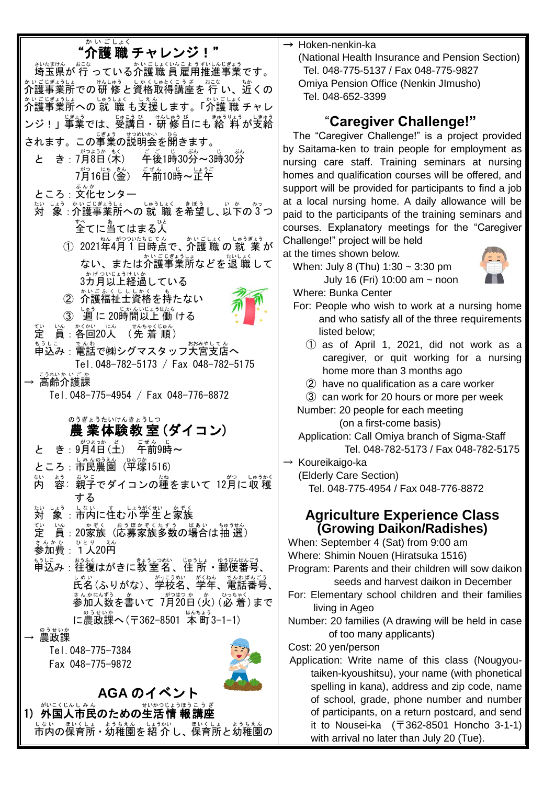# "介護 職 チャレンジ!" ホハセまサメ。 ホニセ<br>埼玉県が 行 っている介護職 員 雇用推進事業です。 介護 かいご 事業所 じぎょうしょ での研 修 けんしゅう と資格 しかく 取得 しゅとく 講座 こうざ を 行 おこな い、近 ちか くの ゕぃごじ゚゙ょぅしょ<br>介護事業所への 就 職 も支援します。「介護 職 チャレ ンジ!」事業では、受講日・研 修 日にも 給 料 が支給 されます。この事業の説明会を開きます。 と き: 7月8日(米) – 年後1時30労~3時30労 - 7月16日 (釜) - 年前10時~芷午 ところ : 文化センター ホッ ヒょぅ ホトンコヒョッコは ๑ | ゅぅしょく まぼぅ し、以下の゚゚゚゚3つ 。<br>全てに当てはまる人 ① 2021年4月1日時点で、介護 職 の 就 業が ない、または介護事業所などを退 職して 。<br>3カ月以上経過している ② 介護福祉士資格を持たない ③ 「週 に 20時間以上 働 ける 定 てい 員 いん :各回 かくかい 20人 にん (先 着 順 せんちゃくじゅん ) もぅしこ 。。。。<br>申込み : 電話で㈱シグマスタッフ大宮支店へ Tel.048-782-5173 / Fax 048-782-5175 → 高齢介護課 Tel.048-775-4954 / Fax 048-776-8872 農 業 体験 教 室 (ダイコン) のうぎょう たいけん きょうしつ と き : 9月4百(王) 年前9時~ ところ: 市民農園 ( 学家1516 ) 内 ない 。<br>容:親子でダイコンの種をまいて 12月に収穫 する 対 たい 象 しょう :市内 しない に住 す む小学生 しょうがくせい と家族 かぞく 定 てい |当:20家族(応募家族多数の場合は抽<sup>"钱)</sup> <u>、。。。。。。。。</u><br>参加費:1人20円 もうしこ おうぶく しょうしょ ゆうびんばんごう<br>申込み : 往復はがきに教 室 名 、住 所 ・郵便番号、 しゃぃ<br>氏名(ふりがな)、学校名、学年、電話番号 、 きんかにんずう。<br>参加人数を書いて 7月20日(火) (必 着)まで に農政課へ(〒362−8501 本町3−1−1) → <sup>®ぅせいか</sup> Tel.048-775-7384 Fax 048-775-9872 **AGA** のイベント

1) 外国人市民のための生活情 報講座 しないの保育所・幼稚園を紹介し、保育所と幼稚園の → Hoken-nenkin-ka

(National Health Insurance and Pension Section) Tel. 048-775-5137 / Fax 048-775-9827 Omiya Pension Office (Nenkin JImusho) Tel. 048-652-3399

# "**Caregiver Challenge!"**

The "Caregiver Challenge!" is a project provided by Saitama-ken to train people for employment as nursing care staff. Training seminars at nursing homes and qualification courses will be offered, and support will be provided for participants to find a job at a local nursing home. A daily allowance will be paid to the participants of the training seminars and courses. Explanatory meetings for the "Caregiver Challenge!" project will be held

at the times shown below.

When: July 8 (Thu) 1:30 ~ 3:30 pm July 16 (Fri) 10:00 am ~ noon



Where: Bunka Center

- For: People who wish to work at a nursing home and who satisfy all of the three requirements listed below;
	- ① as of April 1, 2021, did not work as a caregiver, or quit working for a nursing home more than 3 months ago
	- ② have no qualification as a care worker
	- ③ can work for 20 hours or more per week

Number: 20 people for each meeting (on a first-come basis)

 Application: Call Omiya branch of Sigma-Staff Tel. 048-782-5173 / Fax 048-782-5175

→ Koureikaigo-ka

(Elderly Care Section) Tel. 048-775-4954 / Fax 048-776-8872

# **Agriculture Experience Class (Growing Daikon/Radishes)**

When: September 4 (Sat) from 9:00 am Where: Shimin Nouen (Hiratsuka 1516)

Program: Parents and their children will sow daikon seeds and harvest daikon in December

- For: Elementary school children and their families living in Ageo
- Number: 20 families (A drawing will be held in case of too many applicants)

Cost: 20 yen/person

Application: Write name of this class (Nougyoutaiken-kyoushitsu), your name (with phonetical spelling in kana), address and zip code, name of school, grade, phone number and number of participants, on a return postcard, and send it to Nousei-ka  $( \bar{7}362 - 8501)$  Honcho 3-1-1) with arrival no later than July 20 (Tue).